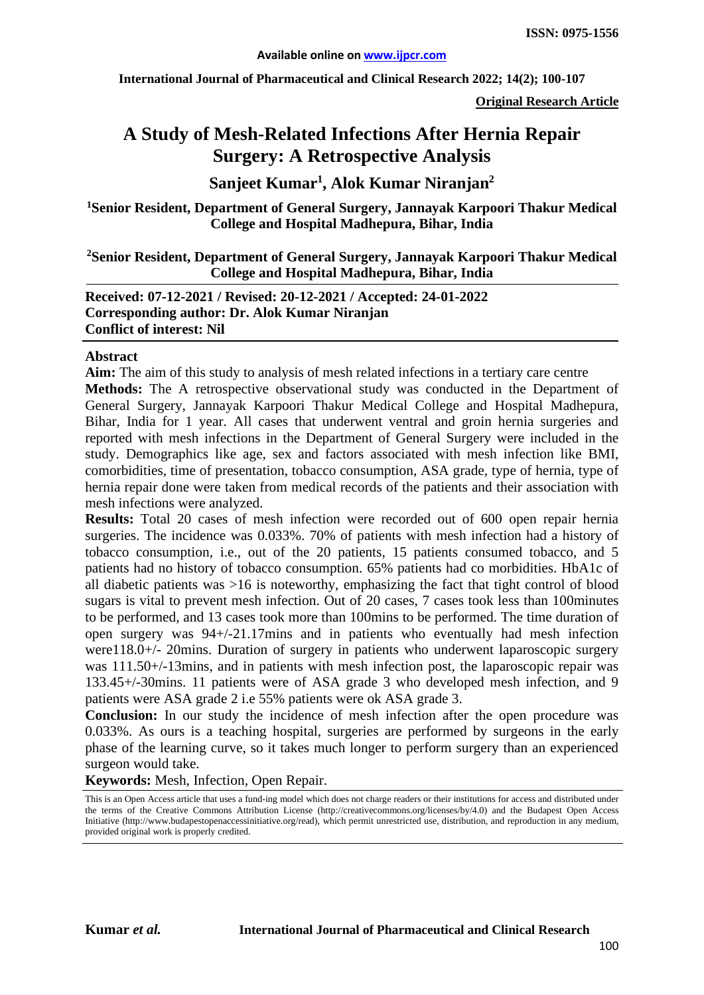**International Journal of Pharmaceutical and Clinical Research 2022; 14(2); 100-107**

**Original Research Article**

# **A Study of Mesh-Related Infections After Hernia Repair Surgery: A Retrospective Analysis**

# **Sanjeet Kumar1 , Alok Kumar Niranjan2**

**1Senior Resident, Department of General Surgery, Jannayak Karpoori Thakur Medical College and Hospital Madhepura, Bihar, India**

#### **2 Senior Resident, Department of General Surgery, Jannayak Karpoori Thakur Medical College and Hospital Madhepura, Bihar, India**

**Received: 07-12-2021 / Revised: 20-12-2021 / Accepted: 24-01-2022 Corresponding author: Dr. Alok Kumar Niranjan Conflict of interest: Nil**

#### **Abstract**

**Aim:** The aim of this study to analysis of mesh related infections in a tertiary care centre

**Methods:** The A retrospective observational study was conducted in the Department of General Surgery, Jannayak Karpoori Thakur Medical College and Hospital Madhepura, Bihar, India for 1 year. All cases that underwent ventral and groin hernia surgeries and reported with mesh infections in the Department of General Surgery were included in the study. Demographics like age, sex and factors associated with mesh infection like BMI, comorbidities, time of presentation, tobacco consumption, ASA grade, type of hernia, type of hernia repair done were taken from medical records of the patients and their association with mesh infections were analyzed.

**Results:** Total 20 cases of mesh infection were recorded out of 600 open repair hernia surgeries. The incidence was 0.033%. 70% of patients with mesh infection had a history of tobacco consumption, i.e., out of the 20 patients, 15 patients consumed tobacco, and 5 patients had no history of tobacco consumption. 65% patients had co morbidities. HbA1c of all diabetic patients was >16 is noteworthy, emphasizing the fact that tight control of blood sugars is vital to prevent mesh infection. Out of 20 cases, 7 cases took less than 100minutes to be performed, and 13 cases took more than 100mins to be performed. The time duration of open surgery was 94+/-21.17mins and in patients who eventually had mesh infection were118.0+/- 20mins. Duration of surgery in patients who underwent laparoscopic surgery was 111.50+/-13mins, and in patients with mesh infection post, the laparoscopic repair was 133.45+/-30mins. 11 patients were of ASA grade 3 who developed mesh infection, and 9 patients were ASA grade 2 i.e 55% patients were ok ASA grade 3.

**Conclusion:** In our study the incidence of mesh infection after the open procedure was 0.033%. As ours is a teaching hospital, surgeries are performed by surgeons in the early phase of the learning curve, so it takes much longer to perform surgery than an experienced surgeon would take.

**Keywords:** Mesh, Infection, Open Repair.

This is an Open Access article that uses a fund-ing model which does not charge readers or their institutions for access and distributed under the terms of the Creative Commons Attribution License (http://creativecommons.org/licenses/by/4.0) and the Budapest Open Access Initiative (http://www.budapestopenaccessinitiative.org/read), which permit unrestricted use, distribution, and reproduction in any medium, provided original work is properly credited.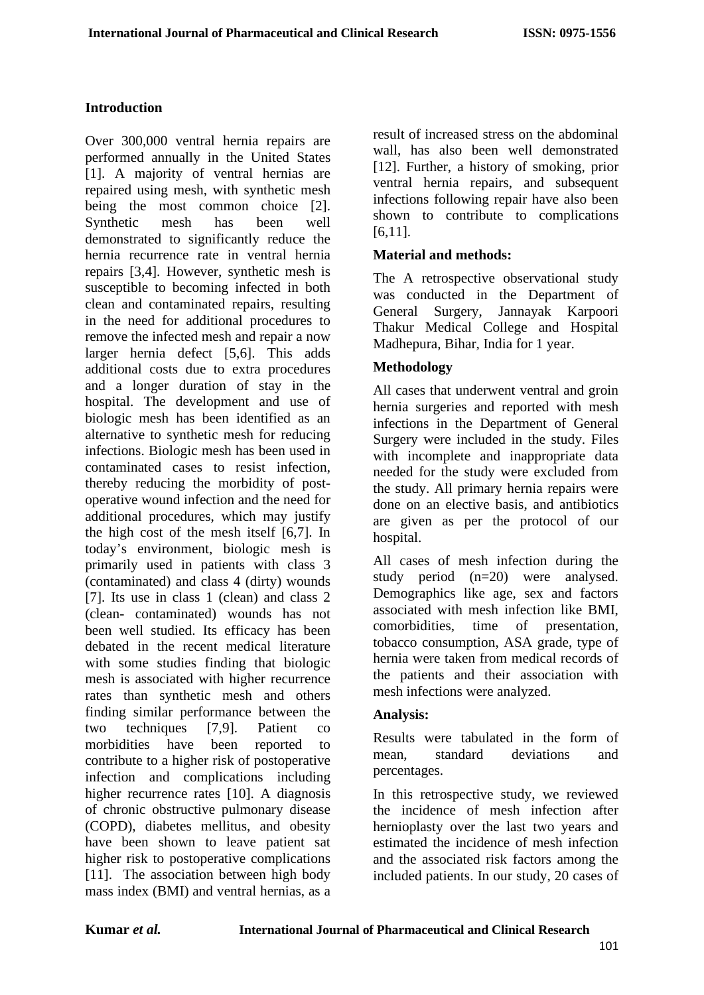## **Introduction**

Over 300,000 ventral hernia repairs are performed annually in the United States [1]. A majority of ventral hernias are repaired using mesh, with synthetic mesh being the most common choice [2]. Synthetic mesh has been well demonstrated to significantly reduce the hernia recurrence rate in ventral hernia repairs [3,4]. However, synthetic mesh is susceptible to becoming infected in both clean and contaminated repairs, resulting in the need for additional procedures to remove the infected mesh and repair a now larger hernia defect [5,6]. This adds additional costs due to extra procedures and a longer duration of stay in the hospital. The development and use of biologic mesh has been identified as an alternative to synthetic mesh for reducing infections. Biologic mesh has been used in contaminated cases to resist infection, thereby reducing the morbidity of postoperative wound infection and the need for additional procedures, which may justify the high cost of the mesh itself [6,7]. In today's environment, biologic mesh is primarily used in patients with class 3 (contaminated) and class 4 (dirty) wounds [7]. Its use in class 1 (clean) and class 2 (clean- contaminated) wounds has not been well studied. Its efficacy has been debated in the recent medical literature with some studies finding that biologic mesh is associated with higher recurrence rates than synthetic mesh and others finding similar performance between the two techniques [7,9]. Patient co morbidities have been reported to contribute to a higher risk of postoperative infection and complications including higher recurrence rates [10]. A diagnosis of chronic obstructive pulmonary disease (COPD), diabetes mellitus, and obesity have been shown to leave patient sat higher risk to postoperative complications [11]. The association between high body mass index (BMI) and ventral hernias, as a

result of increased stress on the abdominal wall, has also been well demonstrated [12]. Further, a history of smoking, prior ventral hernia repairs, and subsequent infections following repair have also been shown to contribute to complications [6,11].

#### **Material and methods:**

The A retrospective observational study was conducted in the Department of General Surgery, Jannayak Karpoori Thakur Medical College and Hospital Madhepura, Bihar, India for 1 year.

## **Methodology**

All cases that underwent ventral and groin hernia surgeries and reported with mesh infections in the Department of General Surgery were included in the study. Files with incomplete and inappropriate data needed for the study were excluded from the study. All primary hernia repairs were done on an elective basis, and antibiotics are given as per the protocol of our hospital.

All cases of mesh infection during the study period (n=20) were analysed. Demographics like age, sex and factors associated with mesh infection like BMI, comorbidities, time of presentation, tobacco consumption, ASA grade, type of hernia were taken from medical records of the patients and their association with mesh infections were analyzed.

#### **Analysis:**

Results were tabulated in the form of mean, standard deviations and percentages.

In this retrospective study, we reviewed the incidence of mesh infection after hernioplasty over the last two years and estimated the incidence of mesh infection and the associated risk factors among the included patients. In our study, 20 cases of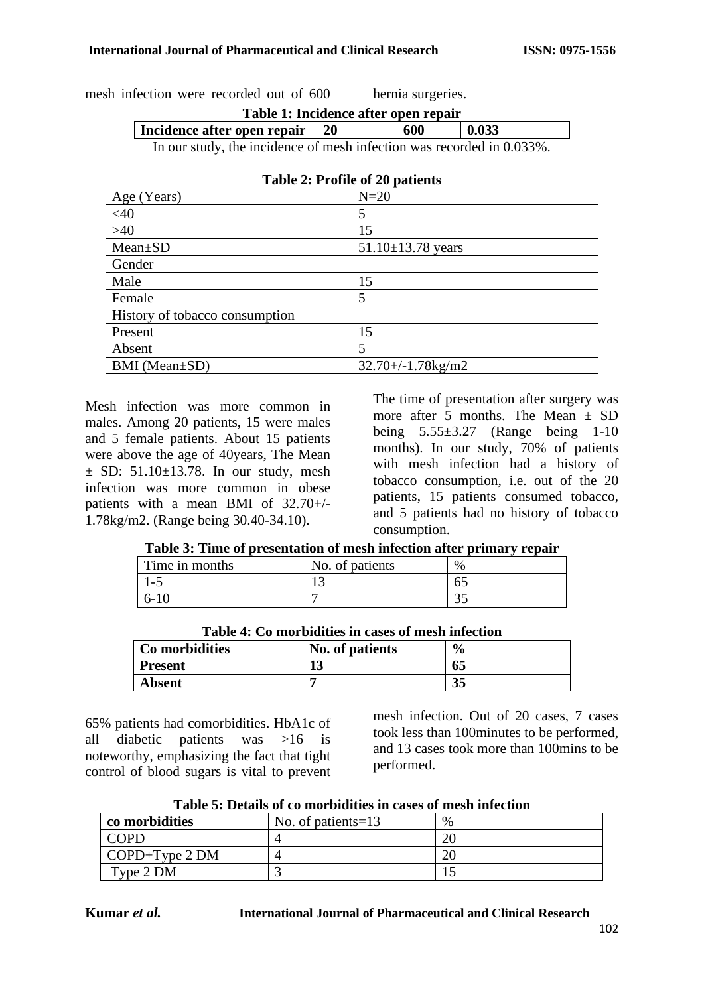mesh infection were recorded out of 600 hernia surgeries.

| Table 1: Incidence after open repair                               |  |     |             |
|--------------------------------------------------------------------|--|-----|-------------|
| Incidence after open repair   20                                   |  | 600 | $\pm 0.033$ |
| Le avec the decidence of mode infection was necessarily to 0.0220/ |  |     |             |

In our study, the incidence of mesh infection was recorded in 0.033%.

| Age (Years)                    | $N=20$                         |
|--------------------------------|--------------------------------|
| <40                            | 5                              |
| $>40$                          | 15                             |
| $Mean \pm SD$                  | $51.10 \pm 13.78$ years        |
| Gender                         |                                |
| Male                           | 15                             |
| Female                         | 5                              |
| History of tobacco consumption |                                |
| Present                        | 15                             |
| Absent                         | 5                              |
| BMI (Mean±SD)                  | $32.70 + (-1.78 \text{kg/m2})$ |

Mesh infection was more common in males. Among 20 patients, 15 were males and 5 female patients. About 15 patients were above the age of 40years, The Mean  $\pm$  SD: 51.10 $\pm$ 13.78. In our study, mesh infection was more common in obese patients with a mean BMI of 32.70+/- 1.78kg/m2. (Range being 30.40-34.10).

The time of presentation after surgery was more after 5 months. The Mean  $\pm$  SD being  $5.55\pm3.27$  (Range being 1-10) months). In our study, 70% of patients with mesh infection had a history of tobacco consumption, i.e. out of the 20 patients, 15 patients consumed tobacco, and 5 patients had no history of tobacco consumption.

|  | Table 3: Time of presentation of mesh infection after primary repair |  |  |  |
|--|----------------------------------------------------------------------|--|--|--|
|  |                                                                      |  |  |  |

| Time in months | No. of patients | $\%$ |
|----------------|-----------------|------|
|                |                 | ∪~   |
| $6-$           |                 | ت ب  |

| 5-10 |                                                    |                             |  |
|------|----------------------------------------------------|-----------------------------|--|
|      |                                                    |                             |  |
|      | Table 4: Co morbidities in cases of mesh infection |                             |  |
|      | .                                                  | $\mathbf{a}$ . $\mathbf{a}$ |  |

| Co morbidities | No. of patients | $\frac{6}{9}$ |
|----------------|-----------------|---------------|
| <b>Present</b> | ∸               | 65            |
| <b>Absent</b>  | −               | n E<br>ວວ     |

65% patients had comorbidities. HbA1c of all diabetic patients was >16 is noteworthy, emphasizing the fact that tight control of blood sugars is vital to prevent mesh infection. Out of 20 cases, 7 cases took less than 100minutes to be performed, and 13 cases took more than 100mins to be performed.

| Table 5: Details of co morbidities in cases of mesh infection |  |  |  |  |
|---------------------------------------------------------------|--|--|--|--|
|---------------------------------------------------------------|--|--|--|--|

| co morbidities          | No. of patients=13 | $\%$ |
|-------------------------|--------------------|------|
| <b>COPD</b>             |                    |      |
| $\text{COPD+Type 2 DM}$ |                    |      |
| Type 2 DM               |                    |      |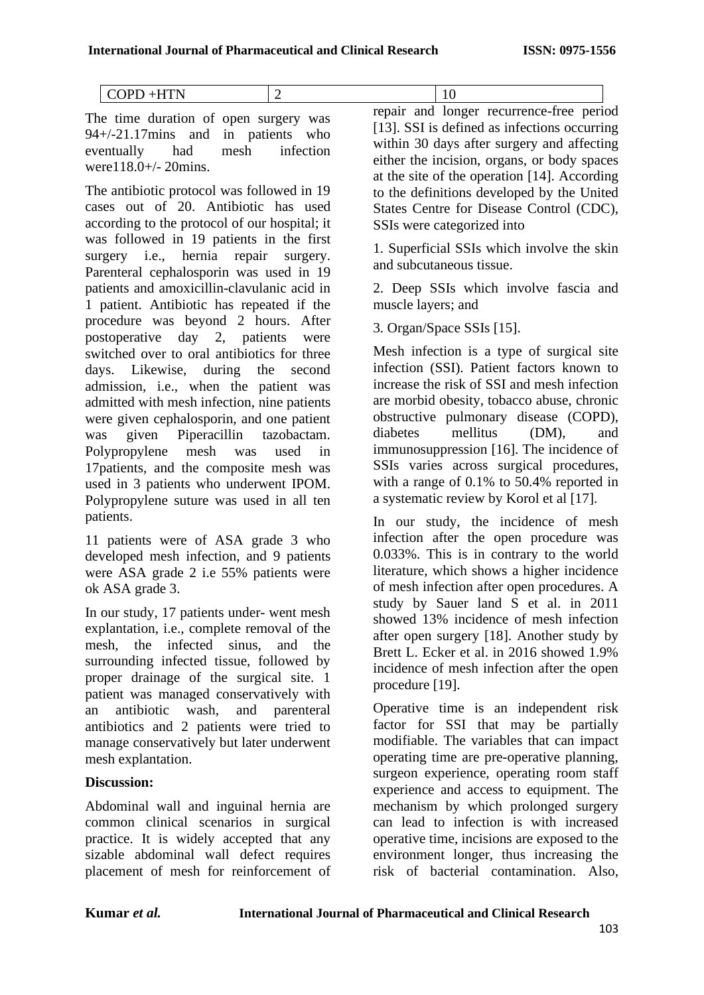|  | <b>.</b> |
|--|----------|

The time duration of open surgery was 94+/-21.17mins and in patients who eventually had mesh infection were118.0+/- 20mins.

The antibiotic protocol was followed in 19 cases out of 20. Antibiotic has used according to the protocol of our hospital; it was followed in 19 patients in the first surgery i.e., hernia repair surgery. Parenteral cephalosporin was used in 19 patients and amoxicillin-clavulanic acid in 1 patient. Antibiotic has repeated if the procedure was beyond 2 hours. After postoperative day 2, patients were switched over to oral antibiotics for three days. Likewise, during the second admission, i.e., when the patient was admitted with mesh infection, nine patients were given cephalosporin, and one patient was given Piperacillin tazobactam. Polypropylene mesh was used in 17patients, and the composite mesh was used in 3 patients who underwent IPOM. Polypropylene suture was used in all ten patients.

11 patients were of ASA grade 3 who developed mesh infection, and 9 patients were ASA grade 2 i.e 55% patients were ok ASA grade 3.

In our study, 17 patients under- went mesh explantation, i.e., complete removal of the mesh, the infected sinus, and the surrounding infected tissue, followed by proper drainage of the surgical site. 1 patient was managed conservatively with an antibiotic wash, and parenteral antibiotics and 2 patients were tried to manage conservatively but later underwent mesh explantation.

## **Discussion:**

Abdominal wall and inguinal hernia are common clinical scenarios in surgical practice. It is widely accepted that any sizable abdominal wall defect requires placement of mesh for reinforcement of repair and longer recurrence-free period [13]. SSI is defined as infections occurring within 30 days after surgery and affecting either the incision, organs, or body spaces at the site of the operation [14]. According to the definitions developed by the United States Centre for Disease Control (CDC), SSIs were categorized into

1. Superficial SSIs which involve the skin and subcutaneous tissue.

2. Deep SSIs which involve fascia and muscle layers; and

3. Organ/Space SSIs [15].

Mesh infection is a type of surgical site infection (SSI). Patient factors known to increase the risk of SSI and mesh infection are morbid obesity, tobacco abuse, chronic obstructive pulmonary disease (COPD), diabetes mellitus (DM), and immunosuppression [16]. The incidence of SSIs varies across surgical procedures, with a range of 0.1% to 50.4% reported in a systematic review by Korol et al [17].

In our study, the incidence of mesh infection after the open procedure was 0.033%. This is in contrary to the world literature, which shows a higher incidence of mesh infection after open procedures. A study by Sauer land S et al. in 2011 showed 13% incidence of mesh infection after open surgery [18]. Another study by Brett L. Ecker et al. in 2016 showed 1.9% incidence of mesh infection after the open procedure [19].

Operative time is an independent risk factor for SSI that may be partially modifiable. The variables that can impact operating time are pre-operative planning, surgeon experience, operating room staff experience and access to equipment. The mechanism by which prolonged surgery can lead to infection is with increased operative time, incisions are exposed to the environment longer, thus increasing the risk of bacterial contamination. Also,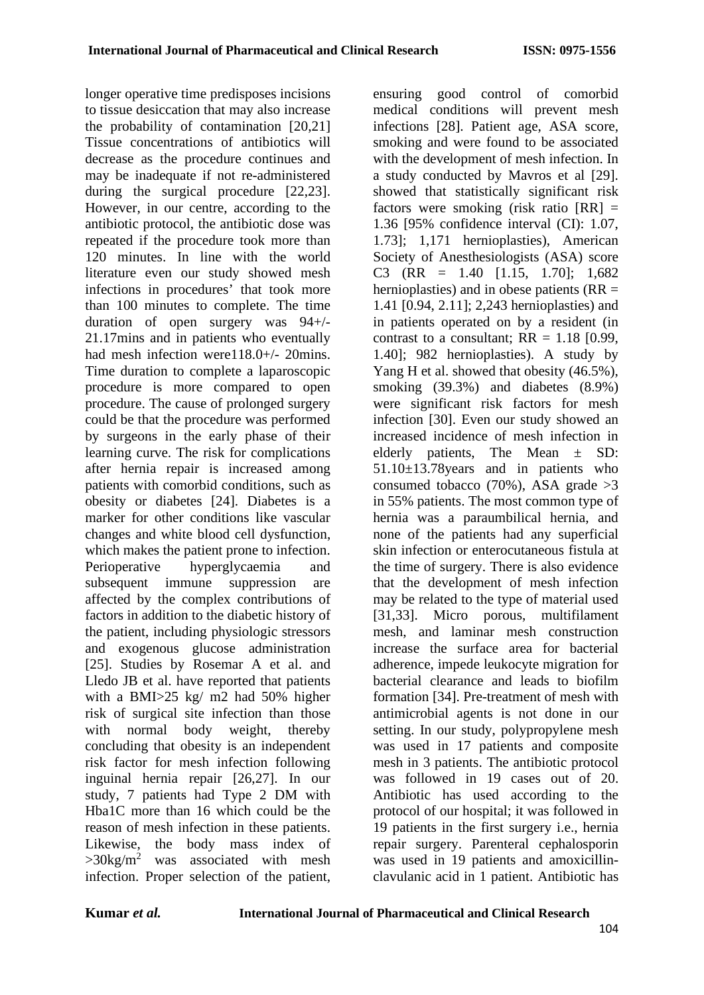longer operative time predisposes incisions to tissue desiccation that may also increase the probability of contamination [20,21] Tissue concentrations of antibiotics will decrease as the procedure continues and may be inadequate if not re-administered during the surgical procedure [22,23]. However, in our centre, according to the antibiotic protocol, the antibiotic dose was repeated if the procedure took more than 120 minutes. In line with the world literature even our study showed mesh infections in procedures' that took more than 100 minutes to complete. The time duration of open surgery was 94+/- 21.17mins and in patients who eventually had mesh infection were118.0+/- 20mins. Time duration to complete a laparoscopic procedure is more compared to open procedure. The cause of prolonged surgery could be that the procedure was performed by surgeons in the early phase of their learning curve. The risk for complications after hernia repair is increased among patients with comorbid conditions, such as obesity or diabetes [24]. Diabetes is a marker for other conditions like vascular changes and white blood cell dysfunction, which makes the patient prone to infection. Perioperative hyperglycaemia and subsequent immune suppression are affected by the complex contributions of factors in addition to the diabetic history of the patient, including physiologic stressors and exogenous glucose administration [25]. Studies by Rosemar A et al. and Lledo JB et al. have reported that patients with a BMI>25 kg/ m2 had 50% higher risk of surgical site infection than those with normal body weight, thereby concluding that obesity is an independent risk factor for mesh infection following inguinal hernia repair [26,27]. In our study, 7 patients had Type 2 DM with Hba1C more than 16 which could be the reason of mesh infection in these patients. Likewise, the body mass index of  $>30$ kg/m<sup>2</sup> was associated with mesh infection. Proper selection of the patient,

ensuring good control of comorbid medical conditions will prevent mesh infections [28]. Patient age, ASA score, smoking and were found to be associated with the development of mesh infection. In a study conducted by Mavros et al [29]. showed that statistically significant risk factors were smoking (risk ratio  $[RR] =$ 1.36 [95% confidence interval (CI): 1.07, 1.73]; 1,171 hernioplasties), American Society of Anesthesiologists (ASA) score C3 (RR =  $1.40$  [1.15, 1.70]; 1,682 hernioplasties) and in obese patients ( $RR =$ 1.41 [0.94, 2.11]; 2,243 hernioplasties) and in patients operated on by a resident (in contrast to a consultant;  $RR = 1.18$  [0.99,] 1.40]; 982 hernioplasties). A study by Yang H et al. showed that obesity (46.5%), smoking (39.3%) and diabetes (8.9%) were significant risk factors for mesh infection [30]. Even our study showed an increased incidence of mesh infection in elderly patients, The Mean ± SD: 51.10±13.78years and in patients who consumed tobacco  $(70\%)$ , ASA grade  $>3$ in 55% patients. The most common type of hernia was a paraumbilical hernia, and none of the patients had any superficial skin infection or enterocutaneous fistula at the time of surgery. There is also evidence that the development of mesh infection may be related to the type of material used [31,33]. Micro porous, multifilament mesh, and laminar mesh construction increase the surface area for bacterial adherence, impede leukocyte migration for bacterial clearance and leads to biofilm formation [34]. Pre-treatment of mesh with antimicrobial agents is not done in our setting. In our study, polypropylene mesh was used in 17 patients and composite mesh in 3 patients. The antibiotic protocol was followed in 19 cases out of 20. Antibiotic has used according to the protocol of our hospital; it was followed in 19 patients in the first surgery i.e., hernia repair surgery. Parenteral cephalosporin was used in 19 patients and amoxicillinclavulanic acid in 1 patient. Antibiotic has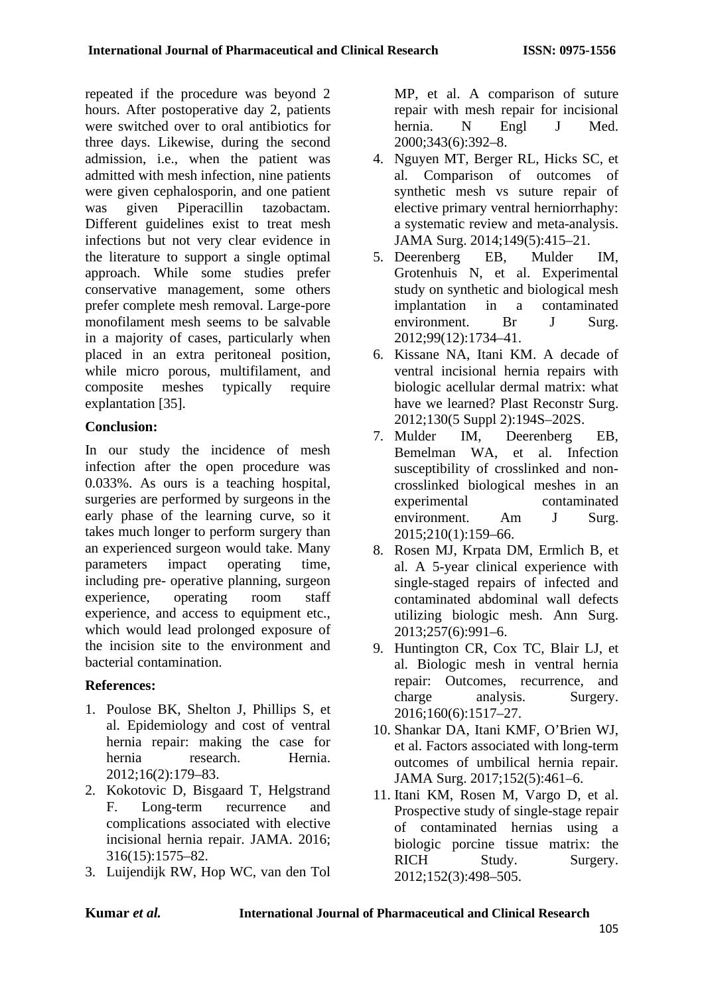repeated if the procedure was beyond 2 hours. After postoperative day 2, patients were switched over to oral antibiotics for three days. Likewise, during the second admission, i.e., when the patient was admitted with mesh infection, nine patients were given cephalosporin, and one patient was given Piperacillin tazobactam. Different guidelines exist to treat mesh infections but not very clear evidence in the literature to support a single optimal approach. While some studies prefer conservative management, some others prefer complete mesh removal. Large-pore monofilament mesh seems to be salvable in a majority of cases, particularly when placed in an extra peritoneal position, while micro porous, multifilament, and composite meshes typically require explantation [35].

# **Conclusion:**

In our study the incidence of mesh infection after the open procedure was 0.033%. As ours is a teaching hospital, surgeries are performed by surgeons in the early phase of the learning curve, so it takes much longer to perform surgery than an experienced surgeon would take. Many parameters impact operating time, including pre- operative planning, surgeon experience, operating room staff experience, and access to equipment etc., which would lead prolonged exposure of the incision site to the environment and bacterial contamination.

# **References:**

- 1. Poulose BK, Shelton J, Phillips S, et al. Epidemiology and cost of ventral hernia repair: making the case for hernia research. Hernia. 2012;16(2):179–83.
- 2. Kokotovic D, Bisgaard T, Helgstrand F. Long-term recurrence and complications associated with elective incisional hernia repair. JAMA. 2016; 316(15):1575–82.
- 3. Luijendijk RW, Hop WC, van den Tol

MP, et al. A comparison of suture repair with mesh repair for incisional hernia. N Engl J Med. 2000;343(6):392–8.

- 4. Nguyen MT, Berger RL, Hicks SC, et al. Comparison of outcomes of synthetic mesh vs suture repair of elective primary ventral herniorrhaphy: a systematic review and meta-analysis. JAMA Surg. 2014;149(5):415–21.
- 5. Deerenberg EB, Mulder IM, Grotenhuis N, et al. Experimental study on synthetic and biological mesh implantation in a contaminated environment. Br J Surg. 2012;99(12):1734–41.
- 6. Kissane NA, Itani KM. A decade of ventral incisional hernia repairs with biologic acellular dermal matrix: what have we learned? Plast Reconstr Surg. 2012;130(5 Suppl 2):194S–202S.
- 7. Mulder IM, Deerenberg EB, Bemelman WA, et al. Infection susceptibility of crosslinked and noncrosslinked biological meshes in an experimental contaminated environment. Am J Surg. 2015;210(1):159–66.
- 8. Rosen MJ, Krpata DM, Ermlich B, et al. A 5-year clinical experience with single-staged repairs of infected and contaminated abdominal wall defects utilizing biologic mesh. Ann Surg. 2013;257(6):991–6.
- 9. Huntington CR, Cox TC, Blair LJ, et al. Biologic mesh in ventral hernia repair: Outcomes, recurrence, and charge analysis. Surgery. 2016;160(6):1517–27.
- 10. Shankar DA, Itani KMF, O'Brien WJ, et al. Factors associated with long-term outcomes of umbilical hernia repair. JAMA Surg. 2017;152(5):461–6.
- 11. Itani KM, Rosen M, Vargo D, et al. Prospective study of single-stage repair of contaminated hernias using a biologic porcine tissue matrix: the RICH Study. Surgery. 2012;152(3):498–505.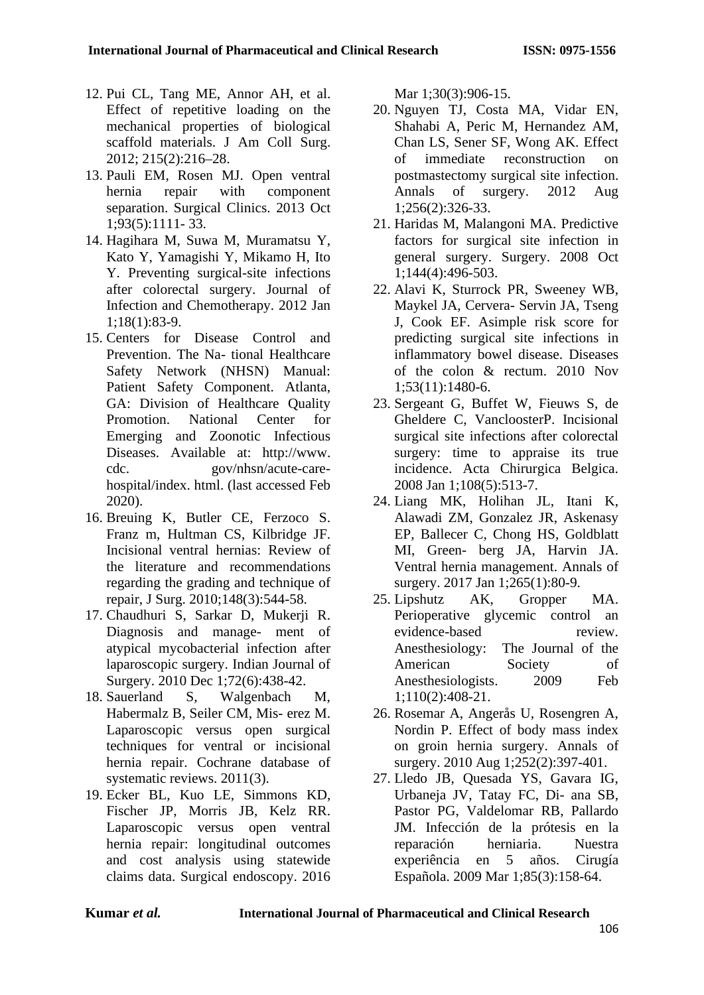- 12. Pui CL, Tang ME, Annor AH, et al. Effect of repetitive loading on the mechanical properties of biological scaffold materials. J Am Coll Surg. 2012; 215(2):216–28.
- 13. Pauli EM, Rosen MJ. Open ventral hernia repair with component separation. Surgical Clinics. 2013 Oct 1;93(5):1111- 33.
- 14. Hagihara M, Suwa M, Muramatsu Y, Kato Y, Yamagishi Y, Mikamo H, Ito Y. Preventing surgical-site infections after colorectal surgery. Journal of Infection and Chemotherapy. 2012 Jan 1;18(1):83-9.
- 15. Centers for Disease Control and Prevention. The Na- tional Healthcare Safety Network (NHSN) Manual: Patient Safety Component. Atlanta, GA: Division of Healthcare Quality Promotion. National Center for Emerging and Zoonotic Infectious Diseases. Available at: [http://www.](http://www/) cdc. gov/nhsn/acute-carehospital/index. html. (last accessed Feb 2020).
- 16. Breuing K, Butler CE, Ferzoco S. Franz m, Hultman CS, Kilbridge JF. Incisional ventral hernias: Review of the literature and recommendations regarding the grading and technique of repair, J Surg. 2010;148(3):544-58.
- 17. Chaudhuri S, Sarkar D, Mukerji R. Diagnosis and manage- ment of atypical mycobacterial infection after laparoscopic surgery. Indian Journal of Surgery. 2010 Dec 1;72(6):438-42.
- 18. Sauerland S, Walgenbach M, Habermalz B, Seiler CM, Mis- erez M. Laparoscopic versus open surgical techniques for ventral or incisional hernia repair. Cochrane database of systematic reviews. 2011(3).
- 19. Ecker BL, Kuo LE, Simmons KD, Fischer JP, Morris JB, Kelz RR. Laparoscopic versus open ventral hernia repair: longitudinal outcomes and cost analysis using statewide claims data. Surgical endoscopy. 2016

Mar 1;30(3):906-15.

- 20. Nguyen TJ, Costa MA, Vidar EN, Shahabi A, Peric M, Hernandez AM, Chan LS, Sener SF, Wong AK. Effect of immediate reconstruction on postmastectomy surgical site infection. Annals of surgery. 2012 Aug 1;256(2):326-33.
- 21. Haridas M, Malangoni MA. Predictive factors for surgical site infection in general surgery. Surgery. 2008 Oct 1;144(4):496-503.
- 22. Alavi K, Sturrock PR, Sweeney WB, Maykel JA, Cervera- Servin JA, Tseng J, Cook EF. Asimple risk score for predicting surgical site infections in inflammatory bowel disease. Diseases of the colon & rectum. 2010 Nov 1;53(11):1480-6.
- 23. Sergeant G, Buffet W, Fieuws S, de Gheldere C, VancloosterP. Incisional surgical site infections after colorectal surgery: time to appraise its true incidence. Acta Chirurgica Belgica. 2008 Jan 1;108(5):513-7.
- 24. Liang MK, Holihan JL, Itani K, Alawadi ZM, Gonzalez JR, Askenasy EP, Ballecer C, Chong HS, Goldblatt MI, Green- berg JA, Harvin JA. Ventral hernia management. Annals of surgery. 2017 Jan 1;265(1):80-9.
- 25. Lipshutz AK, Gropper MA. Perioperative glycemic control an evidence-based review. Anesthesiology: The Journal of the American Society of Anesthesiologists. 2009 Feb 1;110(2):408-21.
- 26. Rosemar A, Angerås U, Rosengren A, Nordin P. Effect of body mass index on groin hernia surgery. Annals of surgery. 2010 Aug 1;252(2):397-401.
- 27. Lledo JB, Quesada YS, Gavara IG, Urbaneja JV, Tatay FC, Di- ana SB, Pastor PG, Valdelomar RB, Pallardo JM. Infección de la prótesis en la reparación herniaria. Nuestra experiência en 5 años. Cirugía Española. 2009 Mar 1;85(3):158-64.